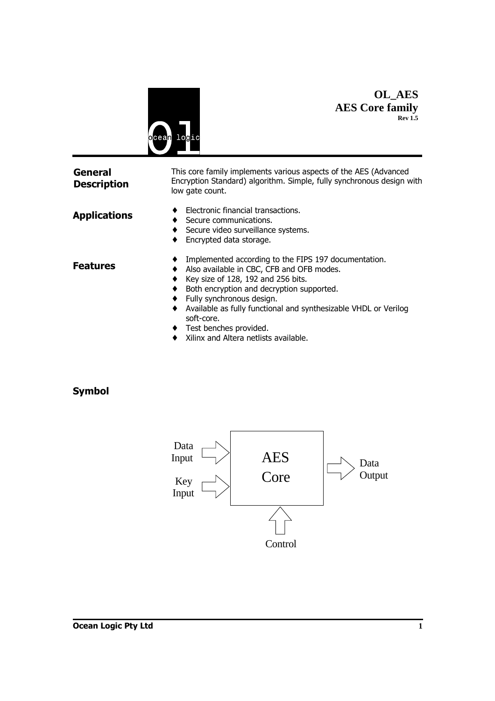

### **OL\_AES AES Core family Rev 1.5**

| <b>General</b><br><b>Description</b> | This core family implements various aspects of the AES (Advanced<br>Encryption Standard) algorithm. Simple, fully synchronous design with<br>low gate count.                                                                                                                                                                                                                         |  |  |
|--------------------------------------|--------------------------------------------------------------------------------------------------------------------------------------------------------------------------------------------------------------------------------------------------------------------------------------------------------------------------------------------------------------------------------------|--|--|
| <b>Applications</b>                  | Electronic financial transactions.<br>Secure communications.<br>Secure video surveillance systems.<br>$\bullet$<br>Encrypted data storage.                                                                                                                                                                                                                                           |  |  |
| Features                             | Implemented according to the FIPS 197 documentation.<br>Also available in CBC, CFB and OFB modes.<br>Key size of 128, 192 and 256 bits.<br>Both encryption and decryption supported.<br>Fully synchronous design.<br>Available as fully functional and synthesizable VHDL or Verilog<br>٠<br>soft-core.<br>Test benches provided.<br>٠<br>Xilinx and Altera netlists available.<br>٠ |  |  |

# **Symbol**

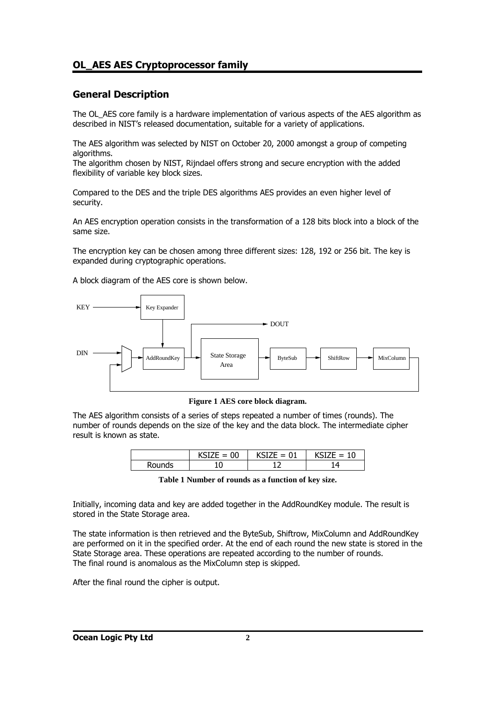### **General Description**

The OL AES core family is a hardware implementation of various aspects of the AES algorithm as described in NIST's released documentation, suitable for a variety of applications.

The AES algorithm was selected by NIST on October 20, 2000 amongst a group of competing algorithms.

The algorithm chosen by NIST, Rijndael offers strong and secure encryption with the added flexibility of variable key block sizes.

Compared to the DES and the triple DES algorithms AES provides an even higher level of security.

An AES encryption operation consists in the transformation of a 128 bits block into a block of the same size.

The encryption key can be chosen among three different sizes: 128, 192 or 256 bit. The key is expanded during cryptographic operations.

A block diagram of the AES core is shown below.



**Figure 1 AES core block diagram.**

The AES algorithm consists of a series of steps repeated a number of times (rounds). The number of rounds depends on the size of the key and the data block. The intermediate cipher result is known as state.

|             | JU     | ----<br>- |  |
|-------------|--------|-----------|--|
| าds<br>Rour | n<br>U | . .       |  |

**Table 1 Number of rounds as a function of key size.**

Initially, incoming data and key are added together in the AddRoundKey module. The result is stored in the State Storage area.

The state information is then retrieved and the ByteSub, Shiftrow, MixColumn and AddRoundKey are performed on it in the specified order. At the end of each round the new state is stored in the State Storage area. These operations are repeated according to the number of rounds. The final round is anomalous as the MixColumn step is skipped.

After the final round the cipher is output.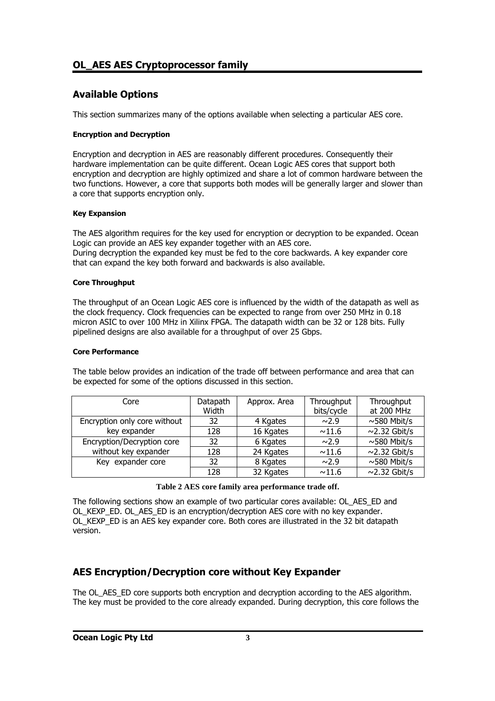### **Available Options**

This section summarizes many of the options available when selecting a particular AES core.

#### **Encryption and Decryption**

Encryption and decryption in AES are reasonably different procedures. Consequently their hardware implementation can be quite different. Ocean Logic AES cores that support both encryption and decryption are highly optimized and share a lot of common hardware between the two functions. However, a core that supports both modes will be generally larger and slower than a core that supports encryption only.

#### **Key Expansion**

The AES algorithm requires for the key used for encryption or decryption to be expanded. Ocean Logic can provide an AES key expander together with an AES core. During decryption the expanded key must be fed to the core backwards. A key expander core that can expand the key both forward and backwards is also available.

#### **Core Throughput**

The throughput of an Ocean Logic AES core is influenced by the width of the datapath as well as the clock frequency. Clock frequencies can be expected to range from over 250 MHz in 0.18 micron ASIC to over 100 MHz in Xilinx FPGA. The datapath width can be 32 or 128 bits. Fully pipelined designs are also available for a throughput of over 25 Gbps.

#### **Core Performance**

The table below provides an indication of the trade off between performance and area that can be expected for some of the options discussed in this section.

| Core                         | Datapath<br>Width | Approx. Area | Throughput<br>bits/cycle | Throughput<br>at 200 MHz |
|------------------------------|-------------------|--------------|--------------------------|--------------------------|
| Encryption only core without | 32                | 4 Kgates     | $\sim$ 2.9               | $\sim$ 580 Mbit/s        |
| key expander                 | 128               | 16 Kgates    | ~11.6                    | $\sim$ 2.32 Gbit/s       |
| Encryption/Decryption core   | 32                | 6 Kgates     | $\sim$ 2.9               | $\sim$ 580 Mbit/s        |
| without key expander         | 128               | 24 Kgates    | ~11.6                    | $\sim$ 2.32 Gbit/s       |
| Key expander core            | 32                | 8 Kgates     | $\sim$ 2.9               | $\sim$ 580 Mbit/s        |
|                              | 128               | 32 Kgates    | ~11.6                    | $\sim$ 2.32 Gbit/s       |

|  |  | Table 2 AES core family area performance trade off. |  |
|--|--|-----------------------------------------------------|--|
|--|--|-----------------------------------------------------|--|

The following sections show an example of two particular cores available: OL\_AES\_ED and OL KEXP ED. OL AES ED is an encryption/decryption AES core with no key expander. OL\_KEXP\_ED is an AES key expander core. Both cores are illustrated in the 32 bit datapath version.

### **AES Encryption/Decryption core without Key Expander**

The OL AES ED core supports both encryption and decryption according to the AES algorithm. The key must be provided to the core already expanded. During decryption, this core follows the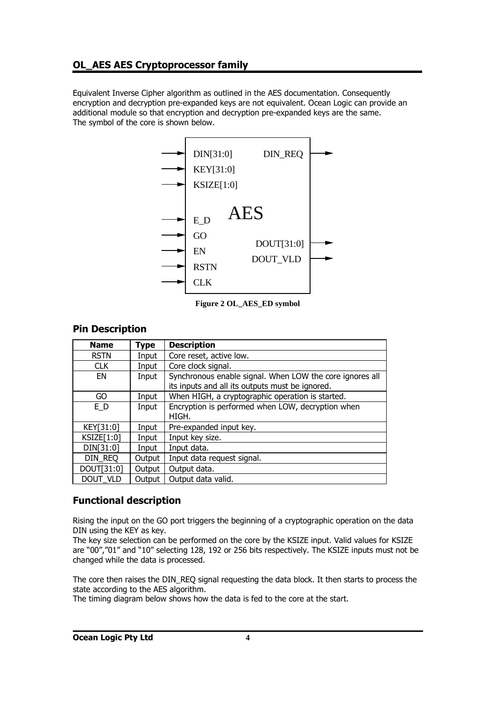Equivalent Inverse Cipher algorithm as outlined in the AES documentation. Consequently encryption and decryption pre-expanded keys are not equivalent. Ocean Logic can provide an additional module so that encryption and decryption pre-expanded keys are the same. The symbol of the core is shown below.



**Figure 2 OL\_AES\_ED symbol**

| <b>Pin Description</b> |  |
|------------------------|--|
|------------------------|--|

| <b>Name</b> | <b>Type</b> | <b>Description</b>                                                                                          |
|-------------|-------------|-------------------------------------------------------------------------------------------------------------|
| <b>RSTN</b> | Input       | Core reset, active low.                                                                                     |
| <b>CLK</b>  | Input       | Core clock signal.                                                                                          |
| EN          | Input       | Synchronous enable signal. When LOW the core ignores all<br>its inputs and all its outputs must be ignored. |
| GO          | Input       | When HIGH, a cryptographic operation is started.                                                            |
| E D         | Input       | Encryption is performed when LOW, decryption when<br>HIGH.                                                  |
| KEY[31:0]   | Input       | Pre-expanded input key.                                                                                     |
| KSIZE[1:0]  | Input       | Input key size.                                                                                             |
| DIN[31:0]   | Input       | Input data.                                                                                                 |
| DIN REQ     | Output      | Input data request signal.                                                                                  |
| DOUT[31:0]  | Output      | Output data.                                                                                                |
| DOUT VLD    | Output      | Output data valid.                                                                                          |

# **Functional description**

Rising the input on the GO port triggers the beginning of a cryptographic operation on the data DIN using the KEY as key.

The key size selection can be performed on the core by the KSIZE input. Valid values for KSIZE are "00","01" and "10" selecting 128, 192 or 256 bits respectively. The KSIZE inputs must not be changed while the data is processed.

The core then raises the DIN\_REQ signal requesting the data block. It then starts to process the state according to the AES algorithm.

The timing diagram below shows how the data is fed to the core at the start.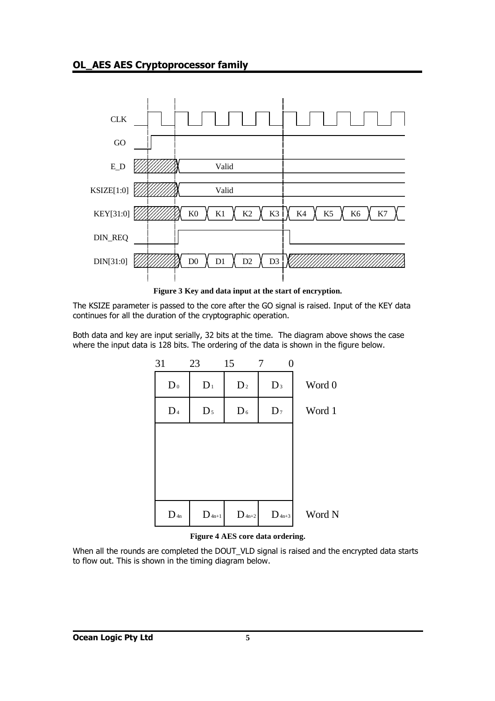

**Figure 3 Key and data input at the start of encryption.**

The KSIZE parameter is passed to the core after the GO signal is raised. Input of the KEY data continues for all the duration of the cryptographic operation.

Both data and key are input serially, 32 bits at the time. The diagram above shows the case where the input data is 128 bits. The ordering of the data is shown in the figure below.



#### **Figure 4 AES core data ordering.**

When all the rounds are completed the DOUT VLD signal is raised and the encrypted data starts to flow out. This is shown in the timing diagram below.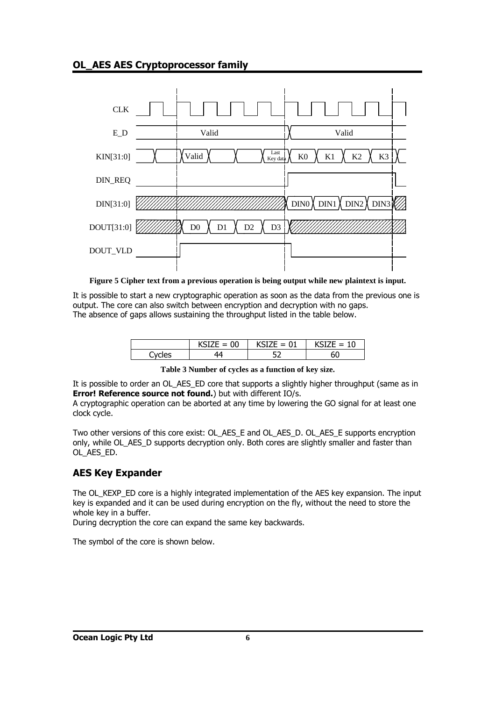

**Figure 5 Cipher text from a previous operation is being output while new plaintext is input.**

It is possible to start a new cryptographic operation as soon as the data from the previous one is output. The core can also switch between encryption and decryption with no gaps. The absence of gaps allows sustaining the throughput listed in the table below.

|       | $\delta$ IZE = 00 | $KSIZE = 01$ | $KSTZF = 10$ |
|-------|-------------------|--------------|--------------|
| voles |                   | --           |              |

**Table 3 Number of cycles as a function of key size.**

It is possible to order an OL\_AES\_ED core that supports a slightly higher throughput (same as in **Error! Reference source not found.**) but with different IO/s.

A cryptographic operation can be aborted at any time by lowering the GO signal for at least one clock cycle.

Two other versions of this core exist: OL\_AES\_E and OL\_AES\_D. OL\_AES\_E supports encryption only, while OL\_AES\_D supports decryption only. Both cores are slightly smaller and faster than OL\_AES\_ED.

# **AES Key Expander**

The OL\_KEXP\_ED core is a highly integrated implementation of the AES key expansion. The input key is expanded and it can be used during encryption on the fly, without the need to store the whole key in a buffer.

During decryption the core can expand the same key backwards.

The symbol of the core is shown below.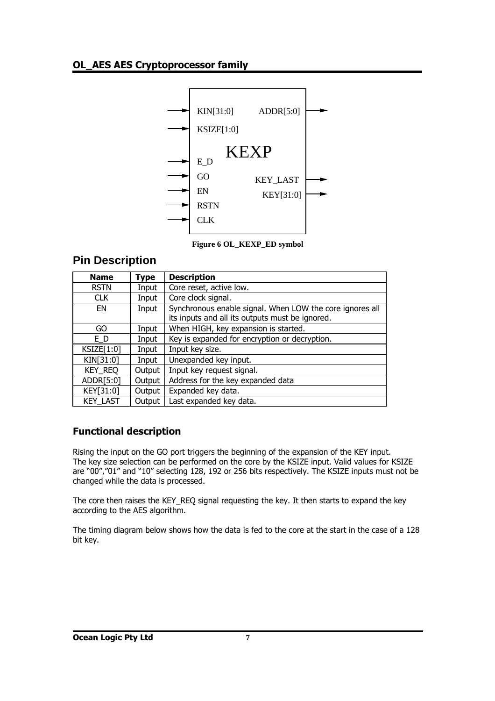

**Figure 6 OL\_KEXP\_ED symbol** 

# **Pin Description**

| <b>Name</b>     | Type   | <b>Description</b>                                                                                          |
|-----------------|--------|-------------------------------------------------------------------------------------------------------------|
| <b>RSTN</b>     | Input  | Core reset, active low.                                                                                     |
| <b>CLK</b>      | Input  | Core clock signal.                                                                                          |
| EN              | Input  | Synchronous enable signal. When LOW the core ignores all<br>its inputs and all its outputs must be ignored. |
| GO              | Input  | When HIGH, key expansion is started.                                                                        |
| E D             | Input  | Key is expanded for encryption or decryption.                                                               |
| KSIZE[1:0]      | Input  | Input key size.                                                                                             |
| KIN[31:0]       | Input  | Unexpanded key input.                                                                                       |
| <b>KEY REQ</b>  | Output | Input key request signal.                                                                                   |
| ADDR[5:0]       | Output | Address for the key expanded data                                                                           |
| KEY[31:0]       | Output | Expanded key data.                                                                                          |
| <b>KEY LAST</b> | Output | Last expanded key data.                                                                                     |

# **Functional description**

Rising the input on the GO port triggers the beginning of the expansion of the KEY input. The key size selection can be performed on the core by the KSIZE input. Valid values for KSIZE are "00","01" and "10" selecting 128, 192 or 256 bits respectively. The KSIZE inputs must not be changed while the data is processed.

The core then raises the KEY\_REQ signal requesting the key. It then starts to expand the key according to the AES algorithm.

The timing diagram below shows how the data is fed to the core at the start in the case of a 128 bit key.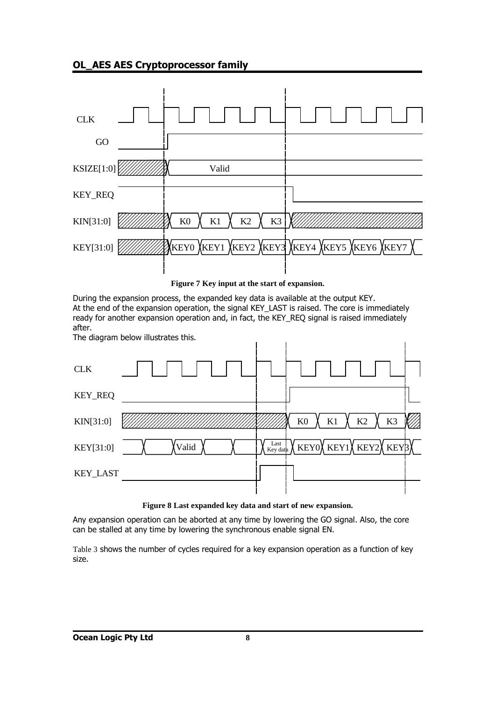

**Figure 7 Key input at the start of expansion.**

During the expansion process, the expanded key data is available at the output KEY. At the end of the expansion operation, the signal KEY\_LAST is raised. The core is immediately ready for another expansion operation and, in fact, the KEY\_REQ signal is raised immediately after.

The diagram below illustrates this.



#### **Figure 8 Last expanded key data and start of new expansion.**

Any expansion operation can be aborted at any time by lowering the GO signal. Also, the core can be stalled at any time by lowering the synchronous enable signal EN.

Table 3 shows the number of cycles required for a key expansion operation as a function of key size.